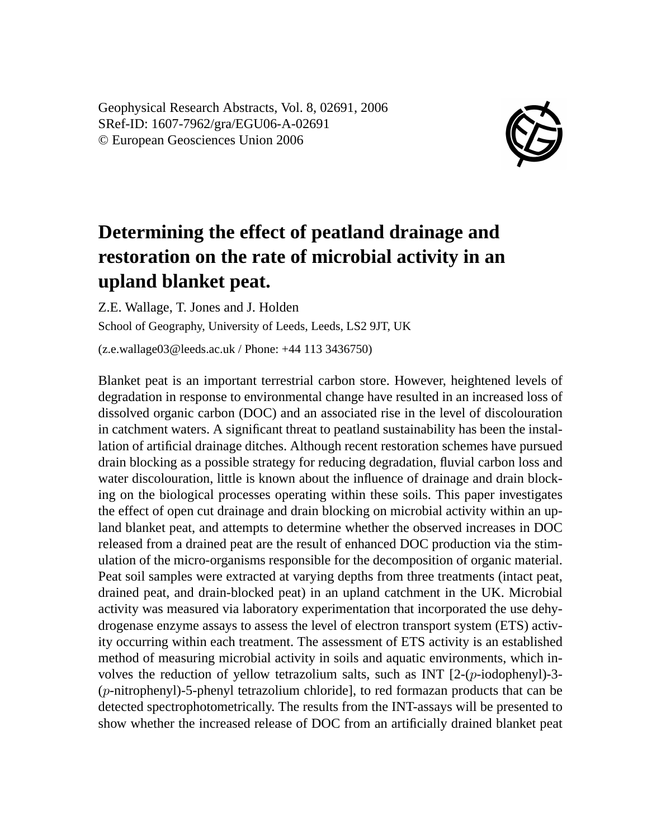Geophysical Research Abstracts, Vol. 8, 02691, 2006 SRef-ID: 1607-7962/gra/EGU06-A-02691 © European Geosciences Union 2006



## **Determining the effect of peatland drainage and restoration on the rate of microbial activity in an upland blanket peat.**

Z.E. Wallage, T. Jones and J. Holden School of Geography, University of Leeds, Leeds, LS2 9JT, UK (z.e.wallage03@leeds.ac.uk / Phone: +44 113 3436750)

Blanket peat is an important terrestrial carbon store. However, heightened levels of degradation in response to environmental change have resulted in an increased loss of dissolved organic carbon (DOC) and an associated rise in the level of discolouration in catchment waters. A significant threat to peatland sustainability has been the installation of artificial drainage ditches. Although recent restoration schemes have pursued drain blocking as a possible strategy for reducing degradation, fluvial carbon loss and water discolouration, little is known about the influence of drainage and drain blocking on the biological processes operating within these soils. This paper investigates the effect of open cut drainage and drain blocking on microbial activity within an upland blanket peat, and attempts to determine whether the observed increases in DOC released from a drained peat are the result of enhanced DOC production via the stimulation of the micro-organisms responsible for the decomposition of organic material. Peat soil samples were extracted at varying depths from three treatments (intact peat, drained peat, and drain-blocked peat) in an upland catchment in the UK. Microbial activity was measured via laboratory experimentation that incorporated the use dehydrogenase enzyme assays to assess the level of electron transport system (ETS) activity occurring within each treatment. The assessment of ETS activity is an established method of measuring microbial activity in soils and aquatic environments, which involves the reduction of yellow tetrazolium salts, such as INT  $[2-(p-i\text{odophenyl})-3-(p+i\text{odophenyl})$ (p-nitrophenyl)-5-phenyl tetrazolium chloride], to red formazan products that can be detected spectrophotometrically. The results from the INT-assays will be presented to show whether the increased release of DOC from an artificially drained blanket peat